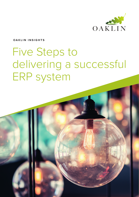

#### **OAKLIN INSIGHTS**

# Five Steps to delivering a successful ERP system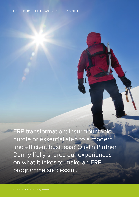ERP transformation: insurmountable hurdle or essential step to a modern and efficient business? Oaklin Partner Danny Kelly shares our experiences on what it takes to make an ERP programme successful.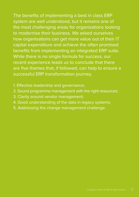The benefits of implementing a best in class ERP system are well understood, but it remains one of the most challenging areas for organisations looking to modernise their business. We asked ourselves how organisations can get more value out of their IT capital expenditure and achieve the often promised benefits from implementing an integrated ERP suite. While there is no single formula for success, our recent experience leads us to conclude that there are five themes that, if followed, can help to ensure a successful ERP transformation journey.

- 1. Effective leadership and governance;
- 2. Sound programme management with the right resources;
- 3. Clarity around vendor management;
- 4. Good understanding of the data in legacy systems;
- 5. Addressing the change management challenge.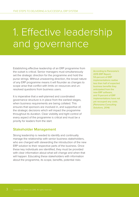## 1. Effective leadership and governance

Establishing effective leadership of an ERP programme from the outset is critical. Senior managers must simultaneously set the strategic direction for the programme and hold the purse strings. Without unwavering direction, the broad nature of any ERP programme means it will flounder as changes to scope arise that conflict with limits on resources and unresolved questions from business users.

It is imperative that a well-planned and coordinated governance structure is in place from the earliest stages, when business requirements are being collated. This ensures that sponsors are involved in, and supportive of, the strategic decisions which will impact the programme throughout its duration. Clear visibility and tight control of every aspect of the programme is critical and must be a priority for leaders from the start.

### **Stakeholder Management**

Strong leadership is needed to identify and continually manage the relationship with senior business stakeholders, who are charged with stewarding the introduction of the new ERP solution to their respective parts of the business. Once these key individuals are identified, they must be provided with clear information about what will change and when that will happen. Educating these stakeholders with information about the programme, its scope, benefits, potential risks

According to Panorama's 2015 ERP Report, 53-percent of ERP implementations realise less than half of expected business benefits they anticipated from the new ERP software, and 11-percent of ERP implementations have not yet recouped any costs. *(Panorama Consulting Solutions, 2014)*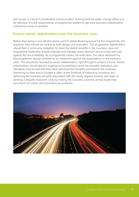and issues, is critical if coordinated communication, training and the wider change effort is to be effective. It is the responsibility of programme leaders to get their business stakeholders onboard as early as possible.

### **Ensure senior stakeholders own the business case**

Rather than being a one-off document used to obtain Board approval for the programme, the business case should be central to both design and execution. The programme stakeholders should feel a continuing obligation to meet the stated benefits in the business case and programme leadership should evaluate and manage every decision about scope and cost against this accountability. As a programme moves into execution, the value delivered by the programme should continue to be measured against the expectations in the business case. This should be reported to senior stakeholders, right through to project closure. Senior stakeholders should feel an ongoing accountability to drive the benefits realisation and ultimately, they should feel they have delivered the benefits promised to the business. Delivering on time and to budget is often at the forefront of leadership concerns, but delivering the business benefits associated with the newly aligned process and ways of working is equally important. Only by making the business case the central leadership document can either set of priorities be achieved.

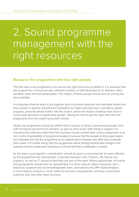# 2. Sound programme management with the right resources

### **Resource the programme with the right people**

The first step in any programme is to secure the right resources to deliver it. It is essential that the programme is resourced with sufficient numbers of staff dedicated to its delivery, which will often mean full time participation. The calibre of these people should also be among the best available.

It is important that the team is put together prior to product selection and definitely before the final solution is agreed. Avoiding the temptation to make early decisions centrally to speed progress, prevents delays further into the project, where the impact of taking more time to revisit early decisions is significantly greater. Taking the time to get the right staff onto the programme from the outset saves time overall.

Ideally, the programme should be staffed with a mixture of senior, experienced people, from both functional and technical domains, as well as more junior staff acting in support. It is important that staff seconded from the business should not feel their career progression is at risk. It is the responsibility of programme leaders to ensure that the people on the project teams are motivated and see the programme as an opportunity to develop new skills and accelerate their career. If it is worth doing, then the programme will be driving fundamental change in the business and the whole team working on it should feel their contribution is valued.

As the team is put together, consideration should be given to ensuring that all areas affected by the programme are represented. Corporate business units, Finance, HR, Stores and Logistics, as well as IT, should all feel they are part of the team. Where appropriate, all brands and geographies should also be represented. It is never easy to obtain resources, but a balanced, experienced and knowledgeable team, dedicated to the ERP implementation, is more likely to produce a closer match to business requirements, and thus a successful outcome, than any other team structure.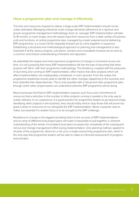### **Have a programme plan and manage it effectively**

The time and resources required to deliver a large-scale ERP implementation should not be under-estimated. Managing enterprise scale change demands adherence to a rigorous and proven programme management methodology. Even an 'average' ERP implementation will take 12-18 months, or even longer, and will require input from resources from a wide variety of business units and functions. A central programme plan, managed by a team experienced at delivering ERP programmes, is a must if all the disparate threads are to come together in sequence. Establishing a structured and methodological approach to planning and management is also important if all the various projects, sub-teams, vendors and consultants involved are to work to a common and shared understanding of timeline and approach.

As potentially the largest and most expensive programme of change in a business at any one time, it is not surprising that many ERP implementations fall into the trap of assuming that other projects will 'fall-in' with their programme methodology. This tendency, coupled with the pressures of launching and running an ERP implementation, often means that other projects which will affect implementation are inadequately considered, or even ignored. From the outset, the programme leadership should seek to identify the other changes happening in the business and their potential inter-dependencies. This is only possible with a robust and clear programme plan, through which other project teams can understand what the ERP programme will be doing.

Most businesses find that an ERP implementation requires such focus and commitment of resources that a reduction in the number of other projects running in parallel is the only way to sustain delivery. In our experience, it is good practice for programme leaders to go beyond simply identifying other projects in the business, they should lobby hard to stop those that will prove too great a draw on resources to run alongside the ERP implementation. Never a popular case to make, but essential if a realistic focus is to be brought to the ERP challenge.

Resistance to change is the biggest stumbling block to the success of ERP implementations and an array of different local project plans will make it impossible to pull together a coherent understanding of the whole. Inconsistent local plans increases the complexity of the subsequent roll out and change management effort during implementation. One planning method, applied to all parts of the programme, allows for a roll up to a single overarching programme plan, which is the only way that programme leaders will be able to make an informed assessment of progress and priorities.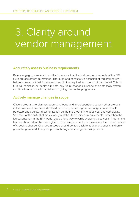## 3. Clarity around vendor management

### **Accurately assess business requirements**

Before engaging vendors it is critical to ensure that the business requirements of the ERP suite are accurately determined. Thorough and consultative definition of requirements will help ensure an optimal fit between the solution required and the solutions offered. This, in turn, will minimise, or ideally eliminate, any future changes in scope and potentially system modifications which add capital and ongoing cost to the programme.

### **Actively manage changes in scope**

Once a programme plan has been developed and interdependencies with other projects in the business have been identified and incorporated, rigorous change control should be established. Allowing customisation during the programme adds cost and complexity. Selection of the suite that most closely matches the business requirements, rather than the latest sensation in the ERP world, goes a long way towards avoiding these costs. Programme leaders should stand by the original business requirements, or make clear the consequences of creeping change. Changes in scope should be tied back to additional benefits and only given the go-ahead if they are proven through the change control process.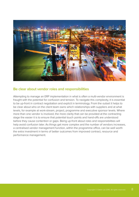

### **Be clear about vendor roles and responsibilities**

Attempting to manage an ERP implementation in what is often a multi-vendor environment is fraught with the potential for confusion and tension. To navigate this complexity, it is essential to be up-front in contract negotiation and explicit in terminology. From the outset it helps to be clear about who on the client team owns which relationships with suppliers and at what levels, for example at work-stream, project, programme and executive sponsor levels. Where more than one vendor is involved, the more clarity that can be provided at the contracting stage the easier it is to ensure that potential touch points and hand-offs are understood before they cause contention or gaps. Being up-front about roles and responsibilities will help avoid confusion later. As things get more complex and the number of vendors increases, a centralised vendor management function, within the programme office, can be well worth the extra investment in terms of better outcomes from improved contract, resource and performance management.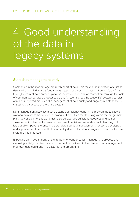# 4. Good understanding of the data in legacy systems

### **Start data management early**

Companies in the modern age are rarely short of data. This makes the migration of existing data to the new ERP suite a fundamental step to success. Old data is often not 'clean', either through incorrect data entry, duplication, past work-arounds, or, most often, through the lack of common standardised processes across functional areas. Because ERP systems consist of many integrated modules, the management of data quality and ongoing maintenance is critical to the success of the entire system.

Data management activities must be started sufficiently early in the programme to allow a working data set to be collated, allowing sufficient time for cleansing within the programme plan. As well as time, this work must also be awarded sufficient resources and senior stakeholder involvement to ensure the correct decisions are made about cleansing data. It is equally important to ensuring a standardised data management process is developed and implemented to ensure that data quality does not start to slip again as soon as the new system is implemented.

Expecting an IT department, or a third party or vendor, to just 'manage' this process and cleansing activity is naïve. Failure to involve the business in the clean-up and management of their own data could end in disaster for the programme.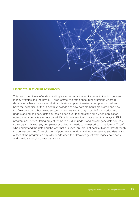

### **Dedicate sufficient resources**

This link to continuity of understanding is also important when it comes to the link between legacy systems and the new ERP programme. We often encounter situations where IT departments have outsourced their application support to external suppliers who do not have the expertise, or the in-depth knowledge of how data elements are stored and how the flow between other linked systems works. Having the right level of knowledge and understanding of legacy data sources is often over-looked at the time when application outsourcing contracts are negotiated. If this is the case, it will cause lengthy delays to ERP programmes, necessitating project teams to build an understanding of legacy data sources from scratch. As with any complexity or delay, this leads to increased costs as former IT staff, who understand the data and the way that it is used, are brought back at higher rates through the contract market. The selection of people who understand legacy systems and data at the outset of the programme pays dividends when their knowledge of what legacy data does and how it is used, becomes paramount.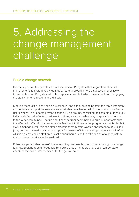# 5. Addressing the change management challenge

### **Build a change network**

It is the impact on the people who will use a new ERP system that, regardless of actual improvements to system, really defines whether a programme is a success. If effectively implemented an ERP system will often replace some staff, which makes the task of engaging the staff who remain even more difficult.

Meeting these difficulties head on is essential and although leading from the top is important, momentum to support the new system must also be achieved within the community of endusers who will be impacted by the change. Pulse groups, consisting of a sample of these key individuals from all affected business functions, are an excellent way of spreading the word to the wider community. Hearing about change from peers helps to build support amongst the affected staff and provides essential feedback to those in the programme that is visible to staff. If managed well, this can alter perceptions away from worries about technology taking jobs, building instead a culture of support for greater efficiency and opportunity for all. After all, it is only by making staff enthusiastic about harnessing the efficiencies of a new system that business benefits can be realised.

Pulse groups can also be useful for measuring progress by the business through its change journey. Seeking regular feedback from pulse group members provides a 'temperature check' of the business's readiness for the go-live date.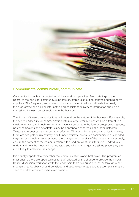

### **Communicate, communicate, communicate**

Communication with all impacted individuals and groups is key. From briefings to the Board, to the end-user community, support staff, stores, distribution centres and third party suppliers. The frequency and content of communication to all should be defined early in the programme and a clear, informative and consistent delivery of information should be maintained for each target audience in the business.

The format of these communications will depend on the nature of the business. For example, the needs and facility for communication within a large retail business will be different to a small, innovative, high-tech telecommunications company. In the former group presentations, poster campaigns and newsletters may be appropriate, whereas in the latter Instagram, Twitter and e-post cards may be more effective. Whatever format the communication takes, there are two golden rules: firstly, don't under estimate how much communication is needed to get across simple messages about the changes and benefits of the programme; secondly, ensure the content of the communication is focused on 'what's in it for me?'. If individuals understand how their jobs will be impacted and why the changes are taking place, they are more likely to embrace the change.

It is equally important to remember that communication works both ways. The programme must ensure there are opportunities for staff affected by the change to provide their views. Be it in discussion workshops with the leadership team, via pulse groups, or through other mechanisms, feedback should be valued and used to generate specific action plans that are seen to address concerns wherever possible.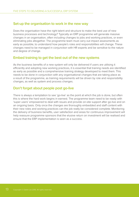### **Set-up the organisation to work in the new way**

Does the organisation have the right talent and structure to make the best use of new business processes and technology? Typically an ERP programme will generate massive changes in an organisation, often including changes to jobs and working practices, or even eliminating jobs altogether. The programme team must carry out impact assessments as early as possible, to understand how people's roles and responsibilities will change. These changes need to be managed in conjunction with HR experts and be sensitive to the nature and degree of change.

### **Embed training to get the best out of the new systems**

As the business benefits of a new system will only be delivered if users are utilising it efficiently and adopting new working practices, it is essential that training needs are identified as early as possible and a comprehensive training strategy developed to meet them. This needs to be done in conjunction with any organisational changes that are taking place as a result of the programme, as training requirements will be driven by role and responsibility changes, as well as system and process changes.

### **Don't forget about people post go-live**

There is always a temptation to see 'go-live' as the point at which the job is done, but often this is where the hard work begins in earnest. The programme team need to be ready with 'super users' empowered to deal with issues and provide on-site support after go-live and on an ongoing basis. Only once the changes are thoroughly embedded and staff content with their new roles and working practices can the job really be considered complete. Monitoring the delivery of business benefits, user satisfaction and areas for continuous improvement will help reassure programme sponsors that the elusive return on investment will be realised and ensure that the ERP implementation is seen as a success.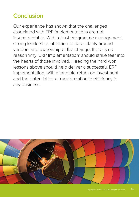### **Conclusion**

Our experience has shown that the challenges associated with ERP implementations are not insurmountable. With robust programme management, strong leadership, attention to data, clarity around vendors and ownership of the change, there is no reason why 'ERP Implementation' should strike fear into the hearts of those involved. Heeding the hard won lessons above should help deliver a successful ERP implementation, with a tangible return on investment and the potential for a transformation in efficiency in any business.